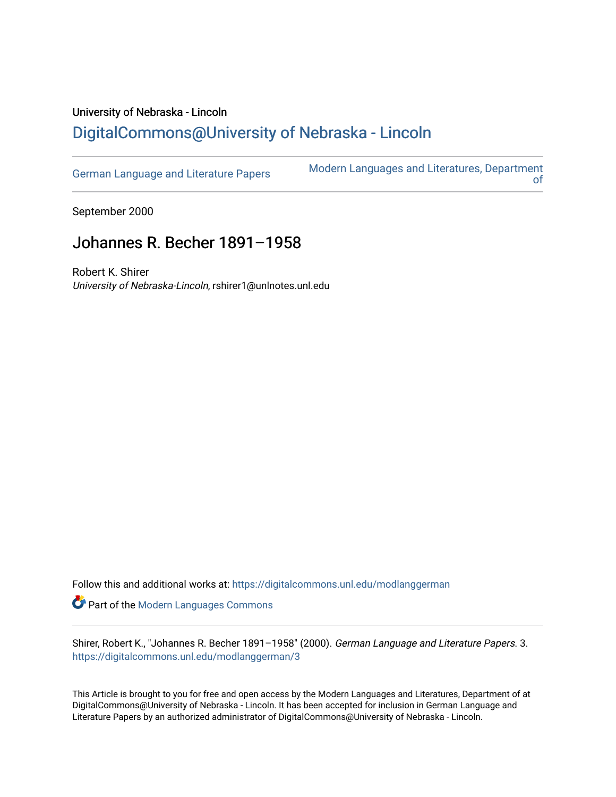# University of Nebraska - Lincoln [DigitalCommons@University of Nebraska - Lincoln](https://digitalcommons.unl.edu/)

[German Language and Literature Papers](https://digitalcommons.unl.edu/modlanggerman) Modern Languages and Literatures, Department [of](https://digitalcommons.unl.edu/modernlanguages) 

September 2000

# Johannes R. Becher 1891–1958

Robert K. Shirer University of Nebraska-Lincoln, rshirer1@unlnotes.unl.edu

Follow this and additional works at: [https://digitalcommons.unl.edu/modlanggerman](https://digitalcommons.unl.edu/modlanggerman?utm_source=digitalcommons.unl.edu%2Fmodlanggerman%2F3&utm_medium=PDF&utm_campaign=PDFCoverPages) 

**Part of the Modern Languages Commons** 

Shirer, Robert K., "Johannes R. Becher 1891-1958" (2000). German Language and Literature Papers. 3. [https://digitalcommons.unl.edu/modlanggerman/3](https://digitalcommons.unl.edu/modlanggerman/3?utm_source=digitalcommons.unl.edu%2Fmodlanggerman%2F3&utm_medium=PDF&utm_campaign=PDFCoverPages) 

This Article is brought to you for free and open access by the Modern Languages and Literatures, Department of at DigitalCommons@University of Nebraska - Lincoln. It has been accepted for inclusion in German Language and Literature Papers by an authorized administrator of DigitalCommons@University of Nebraska - Lincoln.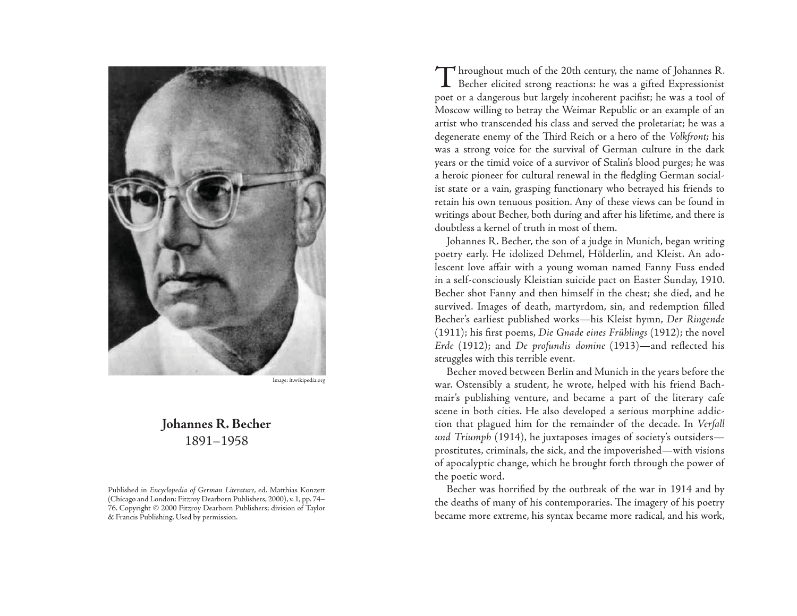

## **Johannes R. Becher** 1891–1958

Published in *Encyclopedia of German Literature*, ed. Matthias Konzett (Chicago and London: Fitzroy Dearborn Publishers, 2000), v. 1, pp. 74– 76. Copyright © 2000 Fitzroy Dearborn Publishers; division of Taylor & Francis Publishing. Used by permission.

Throughout much of the 20th century, the name of Johannes R. Becher elicited strong reactions: he was a gifted Expressionist poet or a dangerous but largely incoherent pacifist; he was a tool of Moscow willing to betray the Weimar Republic or an example of an artist who transcended his class and served the proletariat; he was a degenerate enemy of the Th ird Reich or a hero of the *Volkfront;* his was a strong voice for the survival of German culture in the dark years or the timid voice of a survivor of Stalin's blood purges; he was a heroic pioneer for cultural renewal in the fledgling German socialist state or a vain, grasping functionary who betrayed his friends to retain his own tenuous position. Any of these views can be found in writings about Becher, both during and after his lifetime, and there is doubtless a kernel of truth in most of them.

Johannes R. Becher, the son of a judge in Munich, began writing poetry early. He idolized Dehmel, Hölderlin, and Kleist. An adolescent love affair with a young woman named Fanny Fuss ended in a self-consciously Kleistian suicide pact on Easter Sunday, 1910. Becher shot Fanny and then himself in the chest; she died, and he survived. Images of death, martyrdom, sin, and redemption filled Becher's earliest published works—his Kleist hymn, *Der Ringende* (1911); his first poems, *Die Gnade eines Frühlings* (1912); the novel *Erde* (1912); and *De profundis domine* (1913)—and reflected his struggles with this terrible event.

Becher moved between Berlin and Munich in the years before the war. Ostensibly a student, he wrote, helped with his friend Bachmair's publishing venture, and became a part of the literary cafe scene in both cities. He also developed a serious morphine addiction that plagued him for the remainder of the decade. In *Verfall und Triumph* (1914), he juxtaposes images of society's outsiders prostitutes, criminals, the sick, and the impoverished—with visions of apocalyptic change, which he brought forth through the power of the poetic word.

Becher was horrified by the outbreak of the war in 1914 and by the deaths of many of his contemporaries. The imagery of his poetry became more extreme, his syntax became more radical, and his work,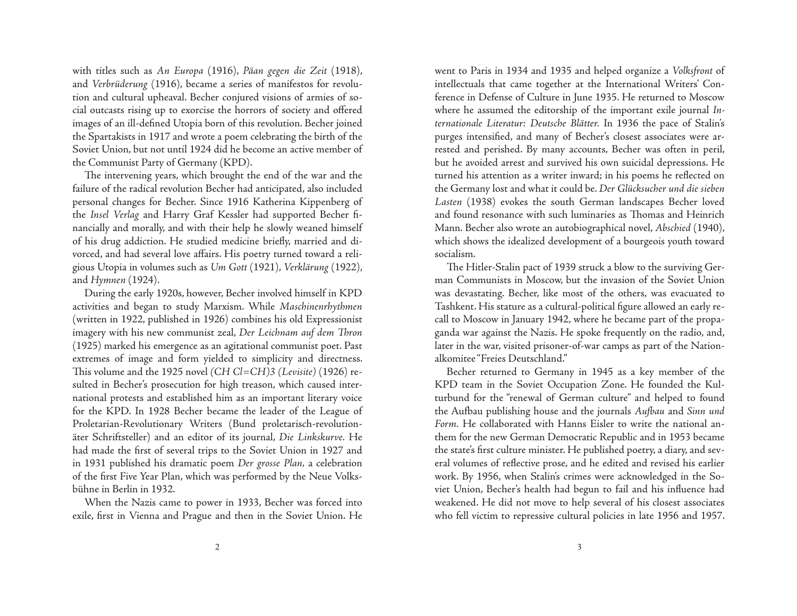with titles such as *An Europa* (1916), *Päan gegen die Zeit* (1918), and *Verbrüderung* (1916), became a series of manifestos for revolution and cultural upheaval. Becher conjured visions of armies of social outcasts rising up to exorcise the horrors of society and offered images of an ill-defined Utopia born of this revolution. Becher joined the Spartakists in 1917 and wrote a poem celebrating the birth of the Soviet Union, but not until 1924 did he become an active member of the Communist Party of Germany (KPD).

The intervening years, which brought the end of the war and the failure of the radical revolution Becher had anticipated, also included personal changes for Becher. Since 1916 Katherina Kippenberg of the *Insel Verlag* and Harry Graf Kessler had supported Becher financially and morally, and with their help he slowly weaned himself of his drug addiction. He studied medicine briefly, married and divorced, and had several love affairs. His poetry turned toward a reli<sup>g</sup>ious Utopia in volumes such as *Um Gott* (1921), *Verklärung* (1922), and *Hymnen* (1924).

During the early 1920s, however, Becher involved himself in KPD activities and began to study Marxism. While *Maschinenrhythmen* (written in 1922, published in 1926) combines his old Expressionist imagery with his new communist zeal, Der Leichnam auf dem Thron (1925) marked his emergence as an agitational communist poet. Past extremes of image and form yielded to simplicity and directness. Th is volume and the 1925 novel *(CH Cl=CH)3 (Levisite)* (1926) resulted in Becher's prosecution for high treason, which caused international protests and established him as an important literary voice for the KPD. In 1928 Becher became the leader of the League of Proletarian-Revolutionary Writers (Bund proletarisch-revolutionäter Schriftsteller) and an editor of its journal, *Die Linkskurve.* He had made the first of several trips to the Soviet Union in 1927 and in 1931 published his dramatic poem *Der grosse Plan*, a celebration of the first Five Year Plan, which was performed by the Neue Volksbühne in Berlin in 1932.

When the Nazis came to power in 1933, Becher was forced into exile, first in Vienna and Prague and then in the Soviet Union. He

went to Paris in 1934 and 1935 and helped organize a *Volksfront* of intellectuals that came together at the International Writers' Conference in Defense of Culture in June 1935. He returned to Moscow where he assumed the editorship of the important exile journal *Internationale Literatur: Deutsche Blätter.* In 1936 the pace of Stalin's purges intensified, and many of Becher's closest associates were arrested and perished. By many accounts, Becher was often in peril, but he avoided arrest and survived his own suicidal depressions. He turned his attention as a writer inward; in his poems he reflected on the Ger many lost and what it could be. *Der Glücksucher und die sieben Lasten* (1938) evokes the south German landscapes Becher loved and found resonance with such luminaries as Thomas and Heinrich Mann. Becher also wrote an autobiographical novel, *Abschied* (1940), which shows the idealized development of a bourgeois youth toward socialism.

The Hitler-Stalin pact of 1939 struck a blow to the surviving German Communists in Moscow, but the invasion of the Soviet Union was devastating. Becher, like most of the others, was evacuated to Tashkent. His stature as a cultural-political figure allowed an early recall to Moscow in January 1942, where he became part of the propaganda war against the Nazis. He spoke frequently on the radio, and, later in the war, visited prisoner-of-war camps as part of the Nationalkomitee "Freies Deutschland."

Becher returned to Germany in 1945 as a key member of the KPD team in the Soviet Occupation Zone. He founded the Kulturbund for the "renewal of German culture" and helped to found the Aufbau publishing house and the journals *Aufbau* and *Sinn und Form.* He collaborated with Hanns Eisler to write the national anthem for the new German Democratic Republic and in 1953 became the state's first culture minister. He published poetry, a diary, and several volumes of reflective prose, and he edited and revised his earlier work. By 1956, when Stalin's crimes were acknowledged in the Soviet Union, Becher's health had begun to fail and his influence had weakened. He did not move to help several of his closest associates who fell victim to repressive cultural policies in late 1956 and 1957.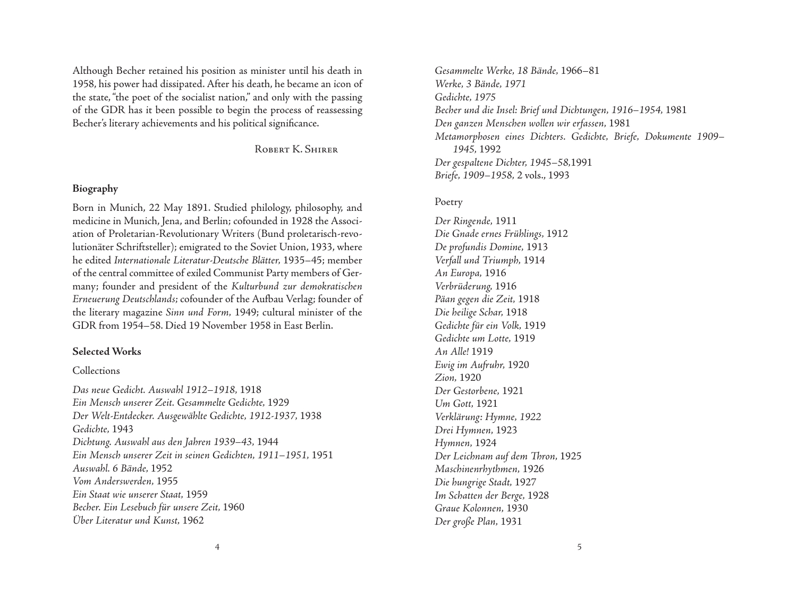Although Becher retained his position as minister until his death in 1958, his power had dissipated. After his death, he became an icon of the state, "the poet of the socialist nation," and only with the passing of the GDR has it been possible to begin the process of reassessing Becher's literary achievements and his political significance.

Robert K. Shirer

### **Biography**

Born in Munich, 22 May 1891. Studied philology, philosophy, and medicine in Munich, Jena, and Berlin; cofounded in 1928 the Association of Proletarian-Revolutionary Writers (Bund proletarisch-revolutionäter Schriftsteller); emigrated to the Soviet Union, 1933, where he edited *Internationale Literatur-Deutsche Blätter,* 1935–45; member of the central committee of exiled Communist Party members of Germany; founder and president of the *Kulturbund zur demokratischen Erneuerung Deutschlands;* cofounder of the Aufbau Verlag; founder of the literary magazine *Sinn und Form,* 1949; cultural minister of the GDR from 1954–58. Died 19 November 1958 in East Berlin.

#### **Selected Works**

#### Collections

*Das neue Gedicht. Auswahl 1912–1918,* 1918 *Ein Mensch unserer Zeit. Gesammelte Gedichte,* 1929 *Der Welt-Entdecker. Ausgewählte Gedichte, 1912-1937,*<sup>1938</sup> *Gedichte,* 1943 *Dichtung. Auswahl aus den Jahren 1939–43,*<sup>1944</sup> *Ein Mensch unserer Zeit in seinen Gedichten, 1911–1951,* 1951 *Auswahl. 6 Bände,* 1952 *Vom Anderswerden,* 1955 *Ein Staat wie unserer Staat,* 1959 *Becher. Ein Lesebuch für unsere Zeit,*<sup>1960</sup> *Über Literatur und Kunst,* 1962

*Gesammelte Werke, 18 Bände,* 1966–81 *Werke, 3 Bände, 1971 Gedichte, 1975 Becher und die Insel: Brief und Dichtungen, 1916–1954,*<sup>1981</sup> *Den ganzen Menschen wollen wir erfassen,*<sup>1981</sup> *Metamorphosen eines Dichters. Gedichte, Briefe, Dokumente 1909– 1945,* 1992 *Der gespaltene Dichter, 1945–58,*<sup>1991</sup> *Briefe, 1909–1958,* 2 vols., 1993

#### Poetry

*Der Ringende,* <sup>1911</sup> *Die Gnade ernes Frühlings,*<sup>1912</sup> *De profundis Domine,* <sup>1913</sup> *Verfall und Triumph,* <sup>1914</sup> *An Europa,* 1916 *Verbrüderung,* <sup>1916</sup> *Päan gegen die Zeit,* <sup>1918</sup> *Die heilige Schar,*<sup>1918</sup> *Gedichte für ein Volk,*<sup>1919</sup> *Gedichte um Lotte,* 1919 *An Alle!* 1919*Ewig im Aufruhr,* <sup>1920</sup> *Zion,* 1920 *Der Gestorbene,* 1921 *Um Gott,* 1921 *Verklärung: Hymne, 1922 Drei Hymnen,* 1923 *Hymnen,* 1924 *Der Leichnam auf dem Th ron,* 1925 *Maschinenrhythmen,* 1926 *Die hungrige Stadt,* <sup>1927</sup> *Im Schatten der Berge,*<sup>1928</sup> *Graue Kolonnen,* 1930 *Der große Plan,* 1931